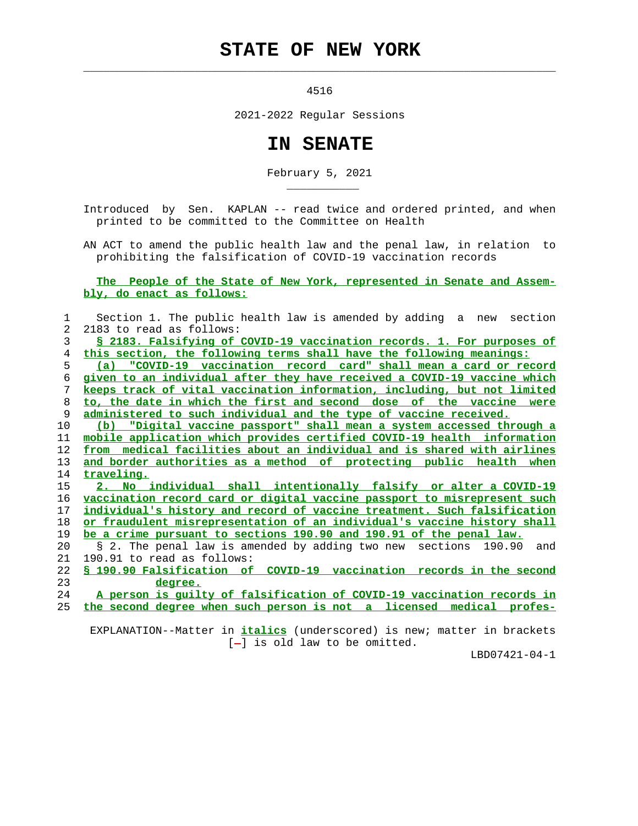## **STATE OF NEW YORK**

 $\mathcal{L}_\text{max} = \frac{1}{2} \sum_{i=1}^{n} \frac{1}{2} \sum_{i=1}^{n} \frac{1}{2} \sum_{i=1}^{n} \frac{1}{2} \sum_{i=1}^{n} \frac{1}{2} \sum_{i=1}^{n} \frac{1}{2} \sum_{i=1}^{n} \frac{1}{2} \sum_{i=1}^{n} \frac{1}{2} \sum_{i=1}^{n} \frac{1}{2} \sum_{i=1}^{n} \frac{1}{2} \sum_{i=1}^{n} \frac{1}{2} \sum_{i=1}^{n} \frac{1}{2} \sum_{i=1}^{n} \frac{1$ 

\_\_\_\_\_\_\_\_\_\_\_

4516

2021-2022 Regular Sessions

## **IN SENATE**

February 5, 2021

 Introduced by Sen. KAPLAN -- read twice and ordered printed, and when printed to be committed to the Committee on Health

 AN ACT to amend the public health law and the penal law, in relation to prohibiting the falsification of COVID-19 vaccination records

 **The People of the State of New York, represented in Senate and Assem bly, do enact as follows:**

| 1              | Section 1. The public health law is amended by adding a new section           |
|----------------|-------------------------------------------------------------------------------|
| $\overline{2}$ | 2183 to read as follows:                                                      |
| 3              | <u>S 2183. Falsifying of COVID-19 vaccination records. 1. For purposes of</u> |
| 4              | this section, the following terms shall have the following meanings:          |
| 5              | (a) "COVID-19 vaccination record card" shall mean a card or record            |
| 6              | given to an individual after they have received a COVID-19 vaccine which      |
| 7              | keeps track of vital vaccination information, including, but not limited      |
| 8              | to, the date in which the first and second dose of the vaccine were           |
| 9              | administered to such individual and the type of vaccine received.             |
| 10             | (b) "Digital vaccine passport" shall mean a system accessed through a         |
| 11             | mobile application which provides certified COVID-19 health information       |
| 12             | from medical facilities about an individual and is shared with airlines       |
| 13             | and border authorities as a method of protecting public health when           |
| 14             | traveling.                                                                    |
| 15             | 2. No individual shall intentionally falsify or alter a COVID-19              |
| 16             | vaccination record card or digital vaccine passport to misrepresent such      |
| 17             | individual's history and record of vaccine treatment. Such falsification      |
| 18             | or fraudulent misrepresentation of an individual's vaccine history shall      |
| 19             | be a crime pursuant to sections 190.90 and 190.91 of the penal law.           |
| 20             | § 2. The penal law is amended by adding two new sections 190.90<br>and        |
| 21             | 190.91 to read as follows:                                                    |
| 22             | § 190.90 Falsification of COVID-19 vaccination records in the second          |
| 23             | degree.                                                                       |
| 24             | A person is quilty of falsification of COVID-19 vaccination records in        |
| 25             | the second degree when such person is not a licensed medical profes-          |
|                |                                                                               |

 EXPLANATION--Matter in **italics** (underscored) is new; matter in brackets [-] is old law to be omitted.

LBD07421-04-1